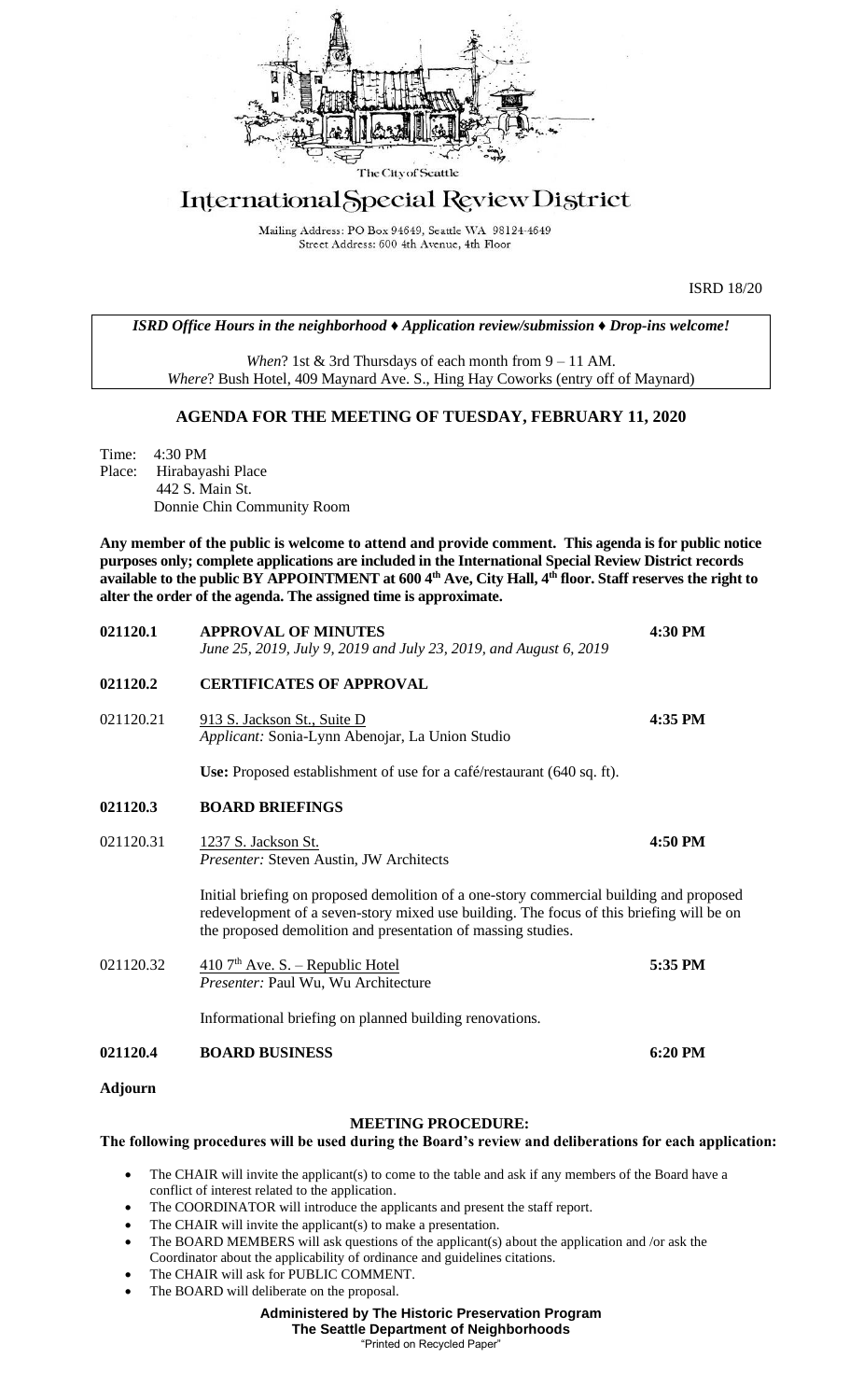

## International Special Review District

Mailing Address: PO Box 94649, Seattle WA 98124-4649 Street Address: 600 4th Avenue, 4th Floor

ISRD 18/20

*ISRD Office Hours in the neighborhood ♦ Application review/submission ♦ Drop-ins welcome!*

*When*? 1st & 3rd Thursdays of each month from 9 – 11 AM. *Where*? Bush Hotel, 409 Maynard Ave. S., Hing Hay Coworks (entry off of Maynard)

## **AGENDA FOR THE MEETING OF TUESDAY, FEBRUARY 11, 2020**

Time: 4:30 PM Place: Hirabayashi Place 442 S. Main St. Donnie Chin Community Room

**Any member of the public is welcome to attend and provide comment. This agenda is for public notice purposes only; complete applications are included in the International Special Review District records available to the public BY APPOINTMENT at 600 4th Ave, City Hall, 4th floor. Staff reserves the right to alter the order of the agenda. The assigned time is approximate.** 

| 021120.1  | <b>APPROVAL OF MINUTES</b><br>June 25, 2019, July 9, 2019 and July 23, 2019, and August 6, 2019                                                                                                                                                     | 4:30 PM |
|-----------|-----------------------------------------------------------------------------------------------------------------------------------------------------------------------------------------------------------------------------------------------------|---------|
| 021120.2  | <b>CERTIFICATES OF APPROVAL</b>                                                                                                                                                                                                                     |         |
| 021120.21 | 913 S. Jackson St., Suite D<br>Applicant: Sonia-Lynn Abenojar, La Union Studio                                                                                                                                                                      | 4:35 PM |
|           | Use: Proposed establishment of use for a café/restaurant (640 sq. ft).                                                                                                                                                                              |         |
| 021120.3  | <b>BOARD BRIEFINGS</b>                                                                                                                                                                                                                              |         |
| 021120.31 | 1237 S. Jackson St.<br>Presenter: Steven Austin, JW Architects                                                                                                                                                                                      | 4:50 PM |
|           | Initial briefing on proposed demolition of a one-story commercial building and proposed<br>redevelopment of a seven-story mixed use building. The focus of this briefing will be on<br>the proposed demolition and presentation of massing studies. |         |
| 021120.32 | $\frac{410}{7}$ <sup>th</sup> Ave. S. – Republic Hotel<br>Presenter: Paul Wu, Wu Architecture                                                                                                                                                       | 5:35 PM |
|           | Informational briefing on planned building renovations.                                                                                                                                                                                             |         |
| 021120.4  | <b>BOARD BUSINESS</b>                                                                                                                                                                                                                               | 6:20 PM |
| Adjourn   |                                                                                                                                                                                                                                                     |         |

## **MEETING PROCEDURE:**

## **The following procedures will be used during the Board's review and deliberations for each application:**

- The CHAIR will invite the applicant(s) to come to the table and ask if any members of the Board have a conflict of interest related to the application.
- The COORDINATOR will introduce the applicants and present the staff report.
- The CHAIR will invite the applicant(s) to make a presentation.
- The BOARD MEMBERS will ask questions of the applicant(s) about the application and /or ask the Coordinator about the applicability of ordinance and guidelines citations.
- The CHAIR will ask for PUBLIC COMMENT.
- The BOARD will deliberate on the proposal.

**Administered by The Historic Preservation Program**

**The Seattle Department of Neighborhoods**

"Printed on Recycled Paper"